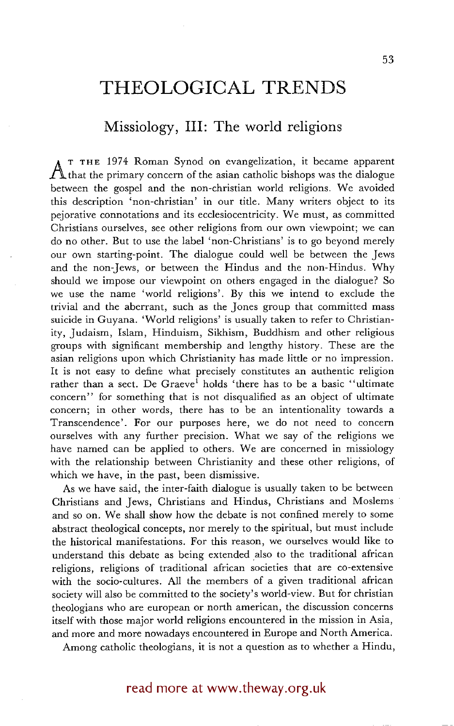# **THEOLOGICAL TRENDS**

## **Missiology, III: The world religions**

A <sup>T</sup> THE 1974 Roman Synod on evangelization, it became apparent  $A$  that the primary concern of the asian catholic bishops was the dialogue between the gospel and the non-christian world religions. We avoided this description 'non-christian' in our title. Many writers object to its pejorative connotations and its ecclesiocentricity. We must, as committed Christians ourselves, see other religions from our own viewpoint; we can do no other. But to use the label 'non-Christians' is to go beyond merely our own starting-point. The dialogue could well be between the Jews and the non-Jews, or between the Hindus and the non-Hindus. Why should we impose our viewpoint on others engaged in the dialogue? So we use the name 'world religions'. By this we intend to exclude the trivial and the aberrant, such as the Jones group that committed mass suicide in Guyana. 'World religions' is usually taken to refer to Christianity, Judaism, Islam, Hinduism, Sikhism, Buddhism and other religious groups with significant membership and lengthy history. These are the asian religions upon which Christianity has made little or no impression. It is not easy to define what precisely constitutes an authentic religion rather than a sect. De Graeve<sup>1</sup> holds 'there has to be a basic "ultimate concern" for something that is not disqualified as an object of ultimate concern; in other words, there has to be an intentionality towards a Transcendence'. For our purposes here, we do not need to concern ourselves with any further precision. What we say of the religions we have named can be applied to others. We are concerned in missiology with the relationship between Christianity and these other religions, of which we have, in the past, been dismissive.

As we have said, the inter-faith dialogue is usually taken to be between Christians and Jews, Christians and Hindus, Christians and Moslems and so on. We shall show how the debate is not confined merely to some abstract theological concepts, nor merely to the spiritual, but must include the historical manifestations. For this reason, we ourselves would like to understand this debate as being extended also to the traditional african religions, religions of traditional african societies that are co-extensive with the socio-cultures. All the members of a given traditional african society will also be committed to the society's world-view. But for christian theologians who are european or north american, the discussion concerns itself with those major world religions encountered in the mission in Asia, and more and more nowadays encountered in Europe and North America.

Among catholic theologians, it is not a question as to whether a Hindu,

### read more at www.theway.org.uk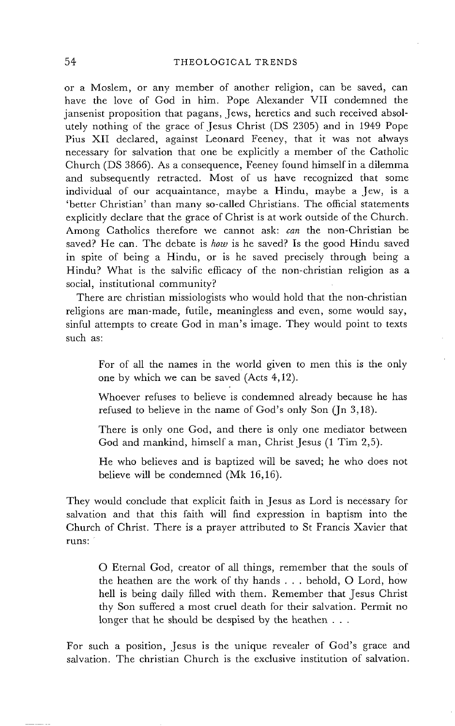### 54 THEOLOGICAL TRENDS

or a Moslem, or any member of another religion, can be saved, can have the love of God in him. Pope Alexander VII condemned the jansenist proposition that pagans, Jews, heretics and such received absolutely nothing of the grace of Jesus Christ (DS 2305) and in 1949 Pope Plus XII declared, against Leonard Feeney, that it was not always necessary for salvation that one be explicitly a member of the Catholic Church (DS 3866). As a consequence, Feeney found himself in a dilemma and subsequently retracted. Most of us have recognized that some individual of our acquaintance, maybe a Hindu, maybe a Jew, is a 'better Christian' than many so-called Christians. The official statements explicitly declare that the grace of Christ is at work outside of the Church. Among Catholics therefore we cannot ask: *can* the non-Christian be saved? He can. The debate is *how* is he saved? Is the good Hindu saved in spite of being a Hindu, or is he saved precisely through being a Hindu? What is the salvific efficacy of the non-christian religion as a social, institutional community?

There are christian missiologists who would hold that the non-christian religions are man-made, futile, meaningless and even, some would say, sinful attempts to create God in man's image. They would point to texts such as:

For of all the names in the world given to men this is the only one by which we can be saved (Acts 4,12).

Whoever refuses to believe is condemned already because he has refused to believe in the name of God's only Son  $($ In 3,18 $).$ 

There is only one God, and there is only one mediator between God and mankind, himself a man, Christ Jesus (1 Tim 2,5).

He who believes and is baptized will be saved; he who does not believe will be condemned (Mk 16,16).

They would conclude that explicit faith in Jesus as Lord is necessary for salvation and that this faith will find expression in baptism into the Church of Christ. There is a prayer attributed to St Francis Xavier that runs:

O Eternal God, creator of all things, remember that the souls of the heathen are the work of thy hands . . . behold, O Lord, how hell is being daily filled with them. Remember that Jesus Christ thy Son suffered a most cruel death for their salvation. Permit no longer that he should be despised by the heathen . . .

For such a position, Jesus is the unique revealer of God's grace and salvation. The christian Church is the exclusive institution of salvation.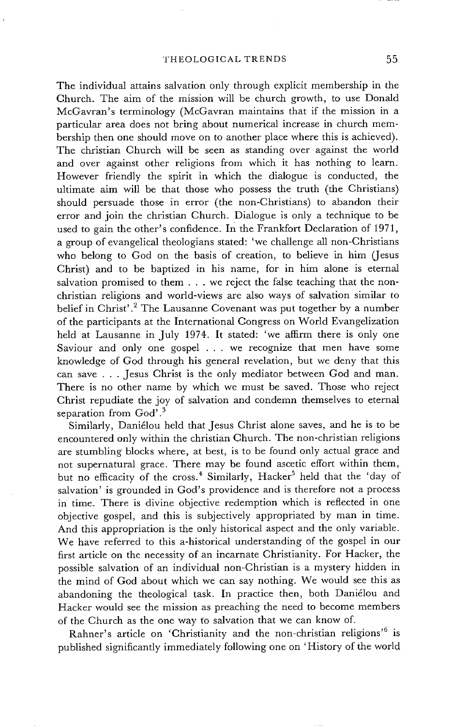The individual attains salvation only through explicit membership in the Church. The aim of the mission will be church growth, to use Donald MeGavran's terminology (McGavran maintains that if the mission in a particular area does not bring about numerical increase in church membership then one should move on to another place where this is achieved). The christian Church will be seen as standing over against the world and over against other religions from which it has nothing to learn. However friendly the spirit in which the dialogue is conducted, the ultimate aim will be that those who possess the truth (the Christians) should persuade those in error (the non-Christians) to abandon their error and join the christian Church. Dialogue is only a technique to be used to gain the other's confidence. In the Frankfort Declaration of 1971, a group of evangelical theologians stated: 'we challenge all non-Christians who belong to God on the basis of creation, to believe in him (Jesus Christ) and to be baptized in his name, for in him alone is eternal salvation promised to them . . . we reject the false teaching that the nonchristian religions and world-views are also ways of salvation similar to belief in Christ'.<sup>2</sup> The Lausanne Covenant was put together by a number of the participants at the International Congress on World Evangelization held at Lausanne in July 1974. It stated: 'we affirm there is only one Saviour and only one gospel ... we recognize that men have some knowledge of God through his general revelation, but we deny that this can save . . . Jesus Christ is the only mediator between God and man. There is no other name by which we must be saved. Those who reject Christ repudiate the joy of salvation and condemn themselves to eternal separation from God'.<sup>3</sup>

Similarly, Daniélou held that Jesus Christ alone saves, and he is to be encountered only within the christian Church. The non-christian religions are stumbling blocks where, at best, is to be found only actual grace and not supernatural grace. There may be found ascetic effort within them, but no efficacity of the cross.<sup>4</sup> Similarly, Hacker<sup>5</sup> held that the 'day of salvation' is grounded in God's providence and is therefore not a process in time. There is divine objective redemption which is reflected in one objective gospel, and this is subjectively appropriated by man in time. And this appropriation is the only historical aspect and the only variable. We have referred to this a-historical understanding of the gospel in our first article on the necessity of an incarnate Christianity. For Hacker, the possible salvation of an individual non-Christian is a mystery hidden in the mind of God about which we can say nothing. We would see this as abandoning the theological task. In practice then, both Daniélou and Hacker would see the mission as preaching the need to become members of the Church as the one way to salvation that we can know of.

Rahner's article on 'Christianity and the non-christian religions'<sup>6</sup> is published significantly immediately following one on 'History of the world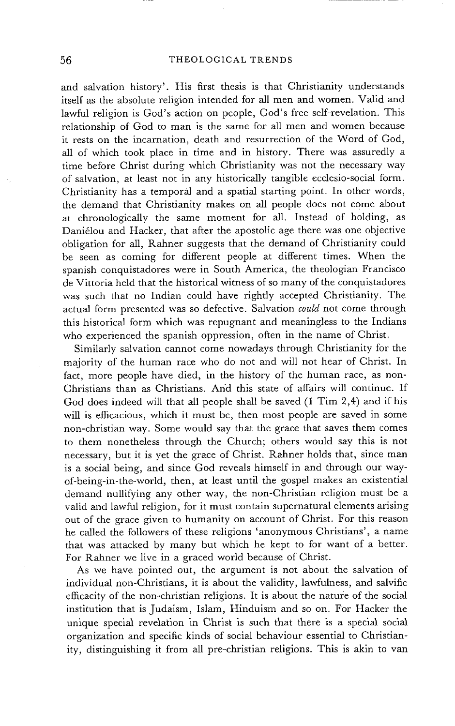and salvation history'. His first thesis is that Christianity understands itself as the absolute religion intended for all men and women. Valid and lawful religion is God's action on people, God's free self-revelation. This relationship of God to man is the same for all men and women because it rests on the incarnation, death and resurrection of the Word of God, all of which took place in time and in history. There was assuredly a time before Christ during which Christianity was not the necessary way of salvation, at least not in any historically tangible ecclesio-social form. Christianity has a temporal and a spatial starting point. In other words, the demand that Christianity makes on all people does not come about at chronologically the same moment for all. Instead of holding, as Daniélou and Hacker, that after the apostolic age there was one objective obligation for all, Rahner suggests that the demand of Christianity could be seen as coming for different people at different times. When the spanish conquistadores were in South America, the theologian Francisco de Vittoria held that the historical witness of so many of the conquistadores was such that no Indian could have rightly accepted Christianity. The actual form presented was so defective. Salvation *could* not come through this historical form which was repugnant and meaningless to the Indians who experienced the spanish oppression, often in the name of Christ.

Similarly salvation cannot come nowadays through Christianity for the majority of the human race who do not and will not hear of Christ. In fact, more people have died, in the history of the human race, as non-Christians than as Christians. And this state of affairs will continue. If God does indeed will that all people shall be saved (1 Tim 2,4) and if his will is efficacious, which it must be, then most people are saved in some non-christian way. Some would say that the grace that saves them comes to them nonetheless through the Church; others would say this is not necessary, but it is yet the grace of Christ. Rahner holds that, since man is a social being, and since God reveals himself in and through our wayof-being-in-the-world, then, at least until the gospel makes an existential demand nullifying any other way, the non-Christian religion must be a valid and lawful religion, for it must contain supernatural elements arising out of the grace given to humanity on account of Christ. For this reason he called the followers of these religions 'anonymous Christians', a name that was attacked by many but which he kept to for want of a better. For Rahner we live in a graced world because of Christ.

As we have pointed out, the argument is not about the salvation of individual non-Christians, it is about the validity, lawfulness, and salvific efficacity of the non-christian religions. It is about the nature of the social institution that is Judaism, Islam, Hinduism and so on. For Hacker the unique special revelation in Christ is such that there is a special social organization and specific kinds of social behaviour essential to Christianity, distinguishing it from all pre-christian religions. This is akin to van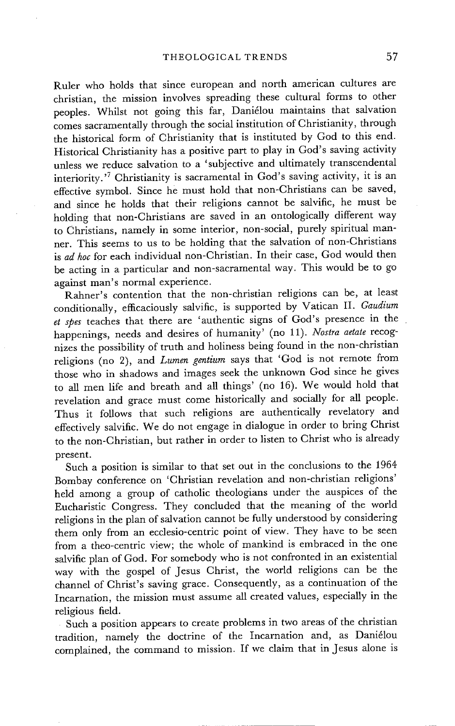Ruler who holds that since european and north american cultures are christian, the mission involves spreading these cultural forms to other peoples. Whilst not going this far, Daniélou maintains that salvation comes sacramentally through the social institution of Christianity, through the historical form of Christianity that is instituted by God to this end. Historical Christianity has a positive part to play in God's saving activity unless we reduce salvation to a 'subjective and ultimately transcendental interiority. '7 Christianity is sacramental in God's saving activity, it is an effective symbol. Since he must hold that non-Christians can be saved, and since he holds that their religions cannot be salvific, he must be holding that non-Christians are saved in an ontologically different way to Christians, namely in some interior, non-social, purely spiritual manner. This seems to us to be holding that the salvation of non-Christians is *ad hoc* for each individual non-Christian. In their case, God would then be acting in a particular and non-sacramental way. This would be to go against man's normal experience.

Rahner's contention that the non-christian religions can be, at least conditionally, efficaciously salvific, is supported by Vatican II. *Gaudium et spes* teaches that there are 'authentic signs of God's presence in the happenings, needs and desires of humanity' (no 11). *Nostra aetate* recognizes the possibility of truth and holiness being found in the non-christian religions (no 2), and *Lumen gentium* says that 'God is not remote from those who in shadows and images seek the unknown God since he gives to all men life and breath and all things' (no 16). We would hold that revelation and grace must come historically and socially for all people. Thus it follows that such religions are authentically revelatory and effectively salvific. We do not engage in dialogue in order to bring Christ to the non-Christian, but rather in order to listen to Christ who is already present.

Such a position is similar to that set out in the conclusions to the 1964 Bombay conference on 'Christian revelation and non-christian religions' held among a group of catholic theologians under the auspices of the Eucharistic Congress. They concluded that the meaning of the world religions in the plan of salvation cannot be fully understood by considering them only from an ecclesio-centric point of view. They have to be seen from a theo-centric view; the whole of mankind is embraced in the one salvific plan of God. For somebody who is not confronted in an existential way with the gospel of Jesus Christ, the world religions can be the channel of Christ's saving grace. Consequently, as a continuation of the Incarnation, the mission must assume all created values, especially in the religious field.

Such a position appears to create problems in two areas of the christian tradition, namely the doctrine of the Incarnation and, as Daniélou complained, the command to mission. If we claim that in Jesus alone is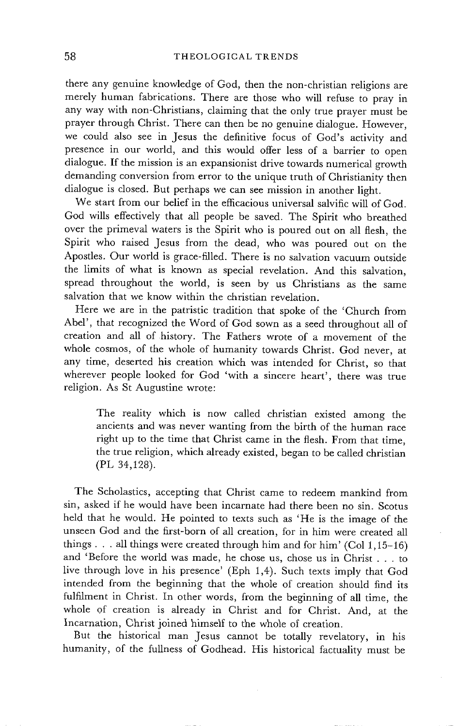there any genuine knowledge of God, then the non-christian religions are merely human fabrications. There are those who will refuse to pray in any way with non-Christians, claiming that the only true prayer must be prayer through Christ. There can then be no genuine dialogue. However, we could also see in Jesus the definitive focus of God's activity and presence in our world, and this would offer less of a barrier to open dialogue. If the mission is an expansionist drive towards numerical growth demanding conversion from error to the unique truth of Christianity then dialogue is closed. But perhaps we can see mission in another light.

We start from our belief in the efficacious universal salvific will of God. God wills effectively that all people be saved. The Spirit who breathed over the primeval waters is the Spirit who is poured out on all flesh, the Spirit who raised Jesus from the dead, who was poured out on the Apostles. Our world is grace-filled. There is no salvation vacuum outside the limits of what is known as special revelation. And this salvation, spread throughout the world, is seen by us Christians as the same salvation that we know within the christian revelation.

Here we are in the patristic tradition that spoke of the 'Church from Abel', that recognized the Word of God sown as a seed throughout all of creation and all of history. The Fathers wrote of a movement of the whole cosmos, of the whole of humanity towards Christ. God never, at any time, deserted his creation which was intended for Christ, so that wherever people looked for God 'with a sincere heart', there was true religion. As St Augustine wrote:

The reality which is now called christian existed among the ancients and was never wanting from the birth of the human race right up to the time that Christ came in the flesh. From that time, the true religion, which already existed, began to be called christian (PL 34,128).

The Scholastics, accepting that Christ came to redeem mankind from sin, asked if he would have been incarnate had there been no sin. Scotus held that he would. He pointed to texts such as 'He is the image of the unseen God and the first-born of all creation, for in him were created all things . . . all things were created through him and for him' (Col  $1,15-16$ ) and 'Before the world was made, he chose us, chose us in Christ . . . to live through love in his presence' (Eph 1,4). Such texts imply that God intended from the beginning that the whole of creation should find its fulfilment in Christ. In other words, from the beginning of all time, the whole of creation is already in Christ and for Christ. And, at the Incarnation, Christ joined himself to the whole of creation.

But the historical man Jesus cannot be totally revelatory, in his humanity, of the fullness of Godhead. His historical factuality must be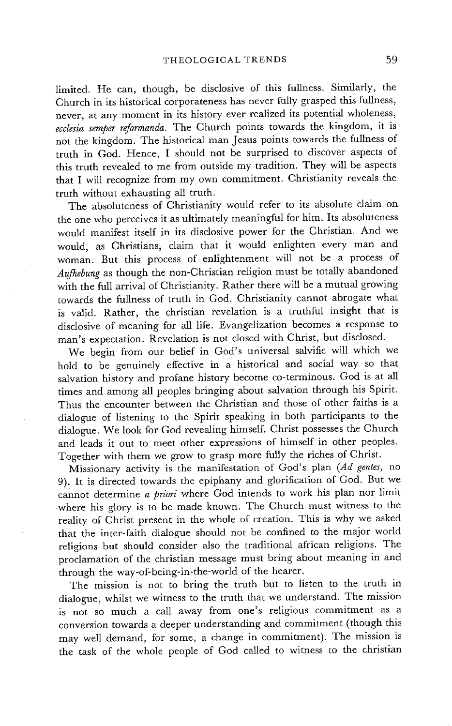limited. He can, though, be disclosive of this fullness. Similarly, the Church in its historical corporateness has never fully grasped this fullness, never, at any moment in its history ever realized its potential wholeness, *ecclesia semper reformanda.* The Church points towards the kingdom, it is not the kingdom. The historical man Jesus points towards the fullness of truth in God. Hence, I should not be surprised to discover aspects of this truth revealed to me from outside my tradition. They will be aspects that I will recognize from my own commitment. Christianity reveals the truth without exhausting all truth.

The absoluteness of Christianity would refer to its absolute claim on the one who perceives it as ultimately meaningful for him. Its absoluteness would manifest itself in its disclosive power for the Christian. And we would, as Christians, claim that it would enlighten every man and woman. But this process of enlightenment will not be a process of *Aufhebung* as though the non-Christian religion must be totally abandoned with the full arrival of Christianity. Rather there will be a mutual growing towards the fullness of truth in God. Christianity cannot abrogate what is valid. Rather, the christian revelation is a truthful insight that is disclosive of meaning for all life. Evangelization becomes a response to man's expectation. Revelation is not closed with Christ, but disclosed.

We begin from our belief in God's universal salvific will which we hold to be genuinely effective in a historical and social way so that salvation history and profane history become co-terminous. God is at all times and among all peoples bringing about salvation through his Spirit. Thus the encounter between the Christian and those of other faiths is a dialogue of listening to the Spirit speaking in both participants to the dialogue. We look for God revealing himself. Christ possesses the Church and leads it out to meet other expressions of himself in other peoples. Together with them we grow to grasp more fully the riches of Christ.

Missionary activity is the manifestation of God's plan *(Ad genres,* no 9). It is directed towards the epiphany and glorification of God. But we cannot determine *a priori* where God intends to work his plan nor limit -where his glory is to be made known. The Church must witness to the reality of Christ present in the whole of creation. This is why we asked that the inter-faith dialogue should not be confined to the major world religions but should consider also the traditional african religions. The proclamation of the christian message must bring about meaning in and through the way-of-being-in-the-world of the hearer.

The mission is not to bring the truth but to listen to the truth in dialogue, whilst we witness to the truth that we understand. The mission is not so much a call away from one's religious commitment as a conversion towards a deeper understanding and commitment (though this may well demand, for some, a change in commitment). The mission is the task of the whole people of God called to witness to the christian